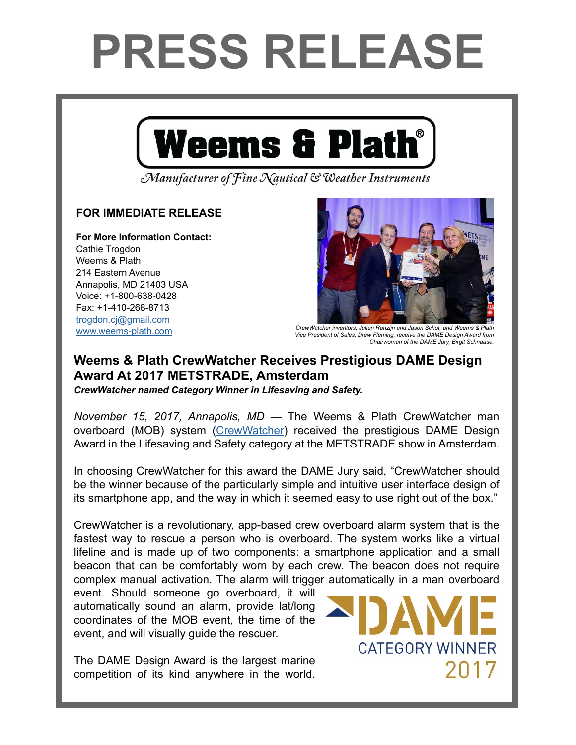## **PRESS RELEASE**



Manufacturer of Fine Nautical & Weather Instruments

## **FOR IMMEDIATE RELEASE**

**For More Information Contact:**  Cathie Trogdon Weems & Plath 214 Eastern Avenue Annapolis, MD 21403 USA Voice: +1-800-638-0428 Fax: +1-410-268-8713 [trogdon.cj@gmail.com](mailto:trogdon.cj%40gmail.com?subject=Regarding%20Press%20Release%20-%20On%20The%20Wind%20Sponsor)



[www.weems-plath.com](http://www.weems-plath.com) *CrewWatcher inventors, Julien Ranzijn and Jason Schot, and Weems & Plath Vice President of Sales, Drew Fleming, receive the DAME Design Award from Chairwoman of the DAME Jury, Birgit Schnaase.*

## **Weems & Plath CrewWatcher Receives Prestigious DAME Design Award At 2017 METSTRADE, Amsterdam**

*CrewWatcher named Category Winner in Lifesaving and Safety.*

*November 15, 2017, Annapolis, MD* — The Weems & Plath CrewWatcher man overboard (MOB) system ([CrewWatcher\)](http://www.CrewWatcher.com/) received the prestigious DAME Design Award in the Lifesaving and Safety category at the METSTRADE show in Amsterdam.

In choosing CrewWatcher for this award the DAME Jury said, "CrewWatcher should be the winner because of the particularly simple and intuitive user interface design of its smartphone app, and the way in which it seemed easy to use right out of the box."

CrewWatcher is a revolutionary, app-based crew overboard alarm system that is the fastest way to rescue a person who is overboard. The system works like a virtual lifeline and is made up of two components: a smartphone application and a small beacon that can be comfortably worn by each crew. The beacon does not require complex manual activation. The alarm will trigger automatically in a man overboard

event. Should someone go overboard, it will automatically sound an alarm, provide lat/long coordinates of the MOB event, the time of the event, and will visually guide the rescuer.

The DAME Design Award is the largest marine competition of its kind anywhere in the world.